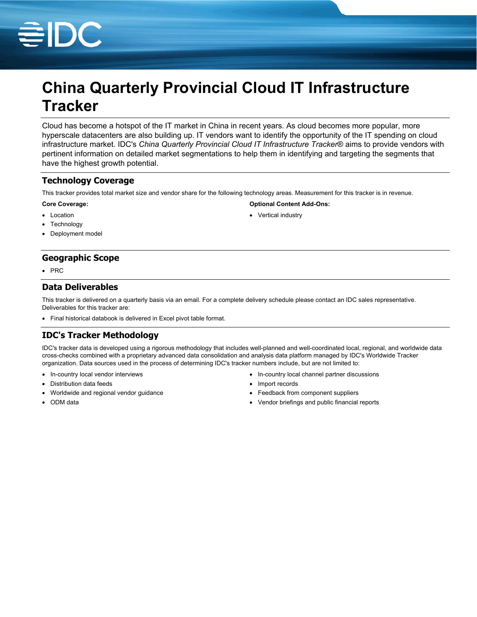

# **China Quarterly Provincial Cloud IT Infrastructure Tracker**

Cloud has become a hotspot of the IT market in China in recent years. As cloud becomes more popular, more hyperscale datacenters are also building up. IT vendors want to identify the opportunity of the IT spending on cloud infrastructure market. IDC's *China Quarterly Provincial Cloud IT Infrastructure Tracker*® aims to provide vendors with pertinent information on detailed market segmentations to help them in identifying and targeting the segments that have the highest growth potential.

### **Technology Coverage**

This tracker provides total market size and vendor share for the following technology areas. Measurement for this tracker is in revenue.

#### **Core Coverage:**

- Location
- Technology
- Deployment model

## **Geographic Scope**

 $\cdot$  PRC

### **Data Deliverables**

This tracker is delivered on a quarterly basis via an email. For a complete delivery schedule please contact an IDC sales representative. Deliverables for this tracker are:

Final historical databook is delivered in Excel pivot table format.

# **IDC's Tracker Methodology**

IDC's tracker data is developed using a rigorous methodology that includes well-planned and well-coordinated local, regional, and worldwide data cross-checks combined with a proprietary advanced data consolidation and analysis data platform managed by IDC's Worldwide Tracker organization. Data sources used in the process of determining IDC's tracker numbers include, but are not limited to:

- In-country local vendor interviews
- Distribution data feeds
- Worldwide and regional vendor guidance
- ODM data
- In-country local channel partner discussions
- Import records
- Feedback from component suppliers

**Optional Content Add-Ons:**

• Vertical industry

Vendor briefings and public financial reports